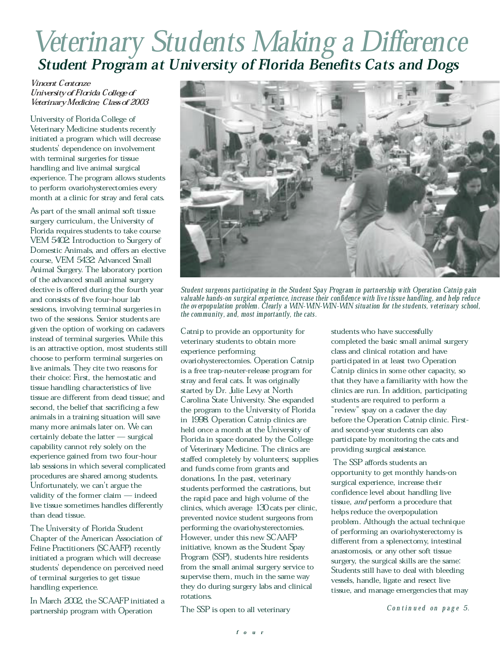## Veterinary Students Making a Difference Student Program at University of Florida Benefits Cats and Dogs

## Vincent Centonze University of Florida College of Veterinary Medicine, Class of 2003

University of Florida College of Veterinary Medicine students recently initiated a program which will decrease students' dependence on involvement with terminal surgeries for tissue handling and live animal surgical experience. The program allows students to perform ovariohysterectomies every month at a clinic for stray and feral cats.

As part of the small animal soft tissue surgery curriculum, the University of Florida requires students to take course VEM 5402 Introduction to Surgery of Domestic Animals, and offers an elective course, VEM 5432: Advanced Small Animal Surgery. The laboratory portion of the advanced small animal surgery elective is offered during the fourth year and consists of five four-hour lab sessions, involving terminal surgeries in two of the sessions. Senior students are given the option of working on cadavers instead of terminal surgeries. While this is an attractive option, most students still choose to perform terminal surgeries on live animals. They cite two reasons for their choice: First, the hemostatic and tissue handling characteristics of live tissue are different from dead tissue; and second, the belief that sacrificing a few animals in a training situation will save many more animals later on. We can  $certainly$  debate the latter  $-$  surgical capability cannot rely solely on the experience gained from two four-hour lab sessions in which several complicated procedures are shared among students. Unfortunately, we can't argue the validity of the former claim  $-$  indeed live tissue sometimes handles differently than dead tissue.

The University of Florida Student Chapter of the American Association of Feline Practitioners (SCAAFP) recently initiated a program which will decrease students<sup>'</sup> dependence on perceived need of terminal surgeries to get tissue handling experience.

In March 2002, the SCAAFP initiated a partnership program with Operation



Student surgeons participating in the Student Spay Program in partnership with Operation Catnip gain valuable hands-on surgical experience, increase their confidence with live tissue handling, and help reduce the overpopulation problem. Clearly a WIN-WIN-WIN-WIN situation for the students, veterinary school, the community, and, most importantly, the cats.

Catnip to provide an opportunity for veterinary students to obtain more experience performing ovariohysterectomies. Operation Catnip is a free trap-neuter-release program for stray and feral cats. It was originally started by Dr. Julie Levy at North Carolina State University. She expanded the program to the University of Florida in 1998. Operation Catnip clinics are held once a month at the University of Florida in space donated by the College of Veterinary Medicine. The clinics are staffed completely by volunteers; supplies and funds come from grants and donations. In the past, veterinary students performed the castrations, but the rapid pace and high volume of the clinics, which average 130 cats per clinic, prevented novice student surgeons from performing the ovariohysterectomies. However, under this new SCAAFP initiative, known as the Student Spay Program (SSP), students hire residents from the small animal surgery service to supervise them, much in the same way they do during surgery labs and clinical rotations.

The SSP is open to all veterinary

students who have successfully completed the basic small animal surgery class and clinical rotation and have participated in at least two Operation Catnip clinics in some other capacity, so that they have a familiarity with how the clinics are run. In addition, participating students are required to perform a "review" spay on a cadaver the day before the Operation Catnip clinic. Firstand second-year students can also participate by monitoring the cats and providing surgical assistance.

The SSP affords students an opportunity to get monthly hands-on surgical experience, increase their confidence level about handling live tissue, and perform a procedure that helps reduce the overpopulation problem. Although the actual technique of performing an ovariohysterectomy is different from a splenectomy, intestinal anastomosis, or any other soft tissue surgery, the surgical skills are the same: Students still have to deal with bleeding vessels, handle, ligate and resect live tissue, and manage emergencies that may